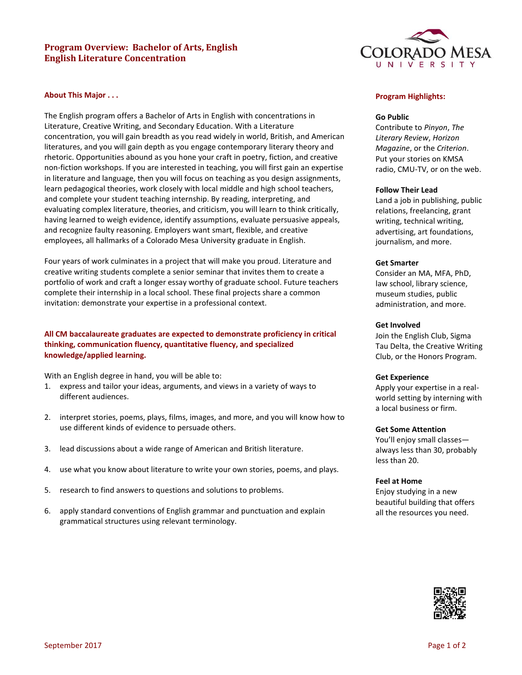# **Program Overview: Bachelor of Arts, English English Literature Concentration**



### **About This Major . . .**

The English program offers a Bachelor of Arts in English with concentrations in Literature, Creative Writing, and Secondary Education. With a Literature concentration, you will gain breadth as you read widely in world, British, and American literatures, and you will gain depth as you engage contemporary literary theory and rhetoric. Opportunities abound as you hone your craft in poetry, fiction, and creative non-fiction workshops. If you are interested in teaching, you will first gain an expertise in literature and language, then you will focus on teaching as you design assignments, learn pedagogical theories, work closely with local middle and high school teachers, and complete your student teaching internship. By reading, interpreting, and evaluating complex literature, theories, and criticism, you will learn to think critically, having learned to weigh evidence, identify assumptions, evaluate persuasive appeals, and recognize faulty reasoning. Employers want smart, flexible, and creative employees, all hallmarks of a Colorado Mesa University graduate in English.

Four years of work culminates in a project that will make you proud. Literature and creative writing students complete a senior seminar that invites them to create a portfolio of work and craft a longer essay worthy of graduate school. Future teachers complete their internship in a local school. These final projects share a common invitation: demonstrate your expertise in a professional context.

# **All CM baccalaureate graduates are expected to demonstrate proficiency in critical thinking, communication fluency, quantitative fluency, and specialized knowledge/applied learning.**

With an English degree in hand, you will be able to:

- 1. express and tailor your ideas, arguments, and views in a variety of ways to different audiences.
- 2. interpret stories, poems, plays, films, images, and more, and you will know how to use different kinds of evidence to persuade others.
- 3. lead discussions about a wide range of American and British literature.
- 4. use what you know about literature to write your own stories, poems, and plays.
- 5. research to find answers to questions and solutions to problems.
- 6. apply standard conventions of English grammar and punctuation and explain grammatical structures using relevant terminology.

#### **Program Highlights:**

### **Go Public**

Contribute to *Pinyon*, *The Literary Review*, *Horizon Magazine*, or the *Criterion*. Put your stories on KMSA radio, CMU-TV, or on the web.

#### **Follow Their Lead**

Land a job in publishing, public relations, freelancing, grant writing, technical writing, advertising, art foundations, journalism, and more.

### **Get Smarter**

Consider an MA, MFA, PhD, law school, library science, museum studies, public administration, and more.

#### **Get Involved**

Join the English Club, Sigma Tau Delta, the Creative Writing Club, or the Honors Program.

#### **Get Experience**

Apply your expertise in a realworld setting by interning with a local business or firm.

#### **Get Some Attention**

You'll enjoy small classes always less than 30, probably less than 20.

#### **Feel at Home**

Enjoy studying in a new beautiful building that offers all the resources you need.